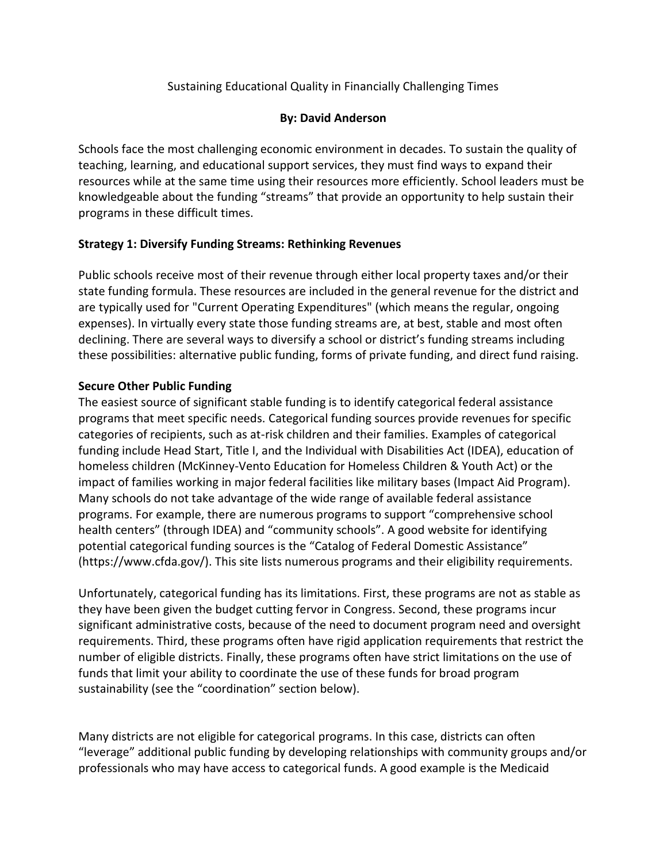# Sustaining Educational Quality in Financially Challenging Times

## **By: David Anderson**

Schools face the most challenging economic environment in decades. To sustain the quality of teaching, learning, and educational support services, they must find ways to expand their resources while at the same time using their resources more efficiently. School leaders must be knowledgeable about the funding "streams" that provide an opportunity to help sustain their programs in these difficult times.

## **Strategy 1: Diversify Funding Streams: Rethinking Revenues**

Public schools receive most of their revenue through either local property taxes and/or their state funding formula. These resources are included in the general revenue for the district and are typically used for "Current Operating Expenditures" (which means the regular, ongoing expenses). In virtually every state those funding streams are, at best, stable and most often declining. There are several ways to diversify a school or district's funding streams including these possibilities: alternative public funding, forms of private funding, and direct fund raising.

## **Secure Other Public Funding**

The easiest source of significant stable funding is to identify categorical federal assistance programs that meet specific needs. Categorical funding sources provide revenues for specific categories of recipients, such as at-risk children and their families. Examples of categorical funding include Head Start, Title I, and the Individual with Disabilities Act (IDEA), education of homeless children (McKinney-Vento Education for Homeless Children & Youth Act) or the impact of families working in major federal facilities like military bases (Impact Aid Program). Many schools do not take advantage of the wide range of available federal assistance programs. For example, there are numerous programs to support "comprehensive school health centers" (through IDEA) and "community schools". A good website for identifying potential categorical funding sources is the "Catalog of Federal Domestic Assistance" (https://www.cfda.gov/). This site lists numerous programs and their eligibility requirements.

Unfortunately, categorical funding has its limitations. First, these programs are not as stable as they have been given the budget cutting fervor in Congress. Second, these programs incur significant administrative costs, because of the need to document program need and oversight requirements. Third, these programs often have rigid application requirements that restrict the number of eligible districts. Finally, these programs often have strict limitations on the use of funds that limit your ability to coordinate the use of these funds for broad program sustainability (see the "coordination" section below).

Many districts are not eligible for categorical programs. In this case, districts can often "leverage" additional public funding by developing relationships with community groups and/or professionals who may have access to categorical funds. A good example is the Medicaid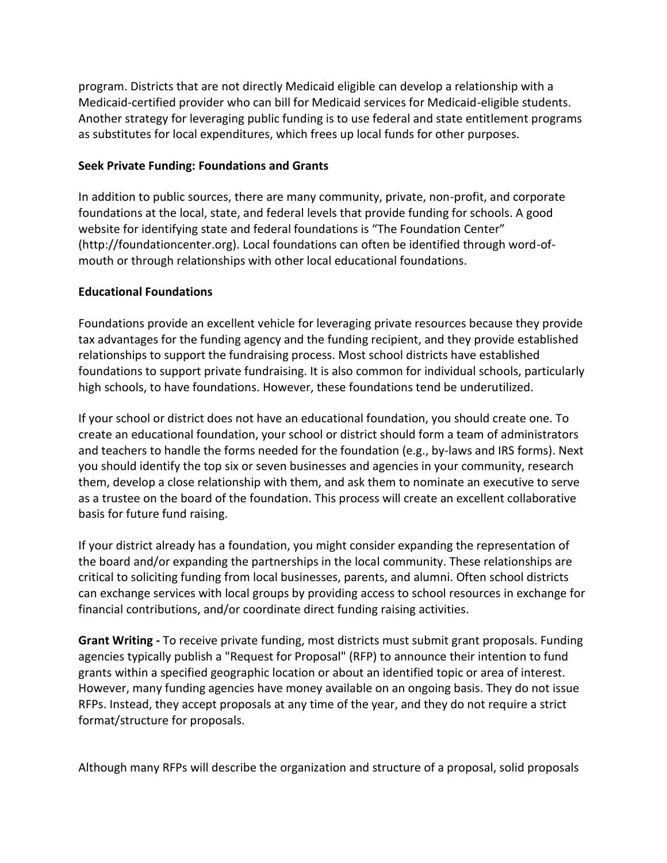program. Districts that are not directly Medicaid eligible can develop a relationship with a Medicaid-certified provider who can bill for Medicaid services for Medicaid-eligible students. Another strategy for leveraging public funding is to use federal and state entitlement programs as substitutes for local expenditures, which frees up local funds for other purposes.

#### **Seek Private Funding: Foundations and Grants**

In addition to public sources, there are many community, private, non-profit, and corporate foundations at the local, state, and federal levels that provide funding for schools. A good website for identifying state and federal foundations is "The Foundation Center" (http://foundationcenter.org). Local foundations can often be identified through word-ofmouth or through relationships with other local educational foundations.

### **Educational Foundations**

Foundations provide an excellent vehicle for leveraging private resources because they provide tax advantages for the funding agency and the funding recipient, and they provide established relationships to support the fundraising process. Most school districts have established foundations to support private fundraising. It is also common for individual schools, particularly high schools, to have foundations. However, these foundations tend be underutilized.

If your school or district does not have an educational foundation, you should create one. To create an educational foundation, your school or district should form a team of administrators and teachers to handle the forms needed for the foundation (e.g., by-laws and IRS forms). Next you should identify the top six or seven businesses and agencies in your community, research them, develop a close relationship with them, and ask them to nominate an executive to serve as a trustee on the board of the foundation. This process will create an excellent collaborative basis for future fund raising.

If your district already has a foundation, you might consider expanding the representation of the board and/or expanding the partnerships in the local community. These relationships are critical to soliciting funding from local businesses, parents, and alumni. Often school districts can exchange services with local groups by providing access to school resources in exchange for financial contributions, and/or coordinate direct funding raising activities.

**Grant Writing -** To receive private funding, most districts must submit grant proposals. Funding agencies typically publish a "Request for Proposal" (RFP) to announce their intention to fund grants within a specified geographic location or about an identified topic or area of interest. However, many funding agencies have money available on an ongoing basis. They do not issue RFPs. Instead, they accept proposals at any time of the year, and they do not require a strict format/structure for proposals.

Although many RFPs will describe the organization and structure of a proposal, solid proposals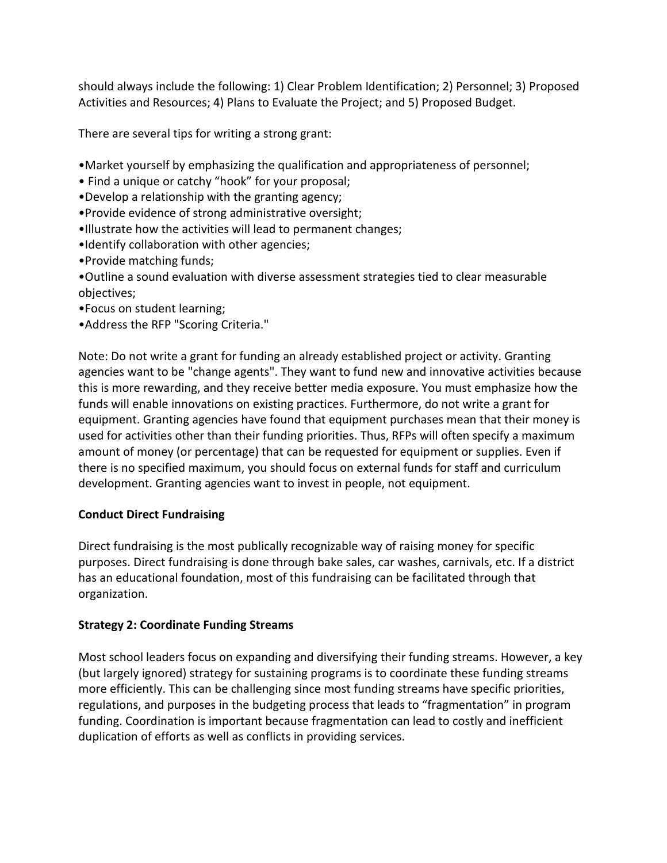should always include the following: 1) Clear Problem Identification; 2) Personnel; 3) Proposed Activities and Resources; 4) Plans to Evaluate the Project; and 5) Proposed Budget.

There are several tips for writing a strong grant:

- •Market yourself by emphasizing the qualification and appropriateness of personnel;
- Find a unique or catchy "hook" for your proposal;
- •Develop a relationship with the granting agency;
- •Provide evidence of strong administrative oversight;
- •Illustrate how the activities will lead to permanent changes;
- •Identify collaboration with other agencies;
- •Provide matching funds;
- •Outline a sound evaluation with diverse assessment strategies tied to clear measurable objectives;
- •Focus on student learning;
- •Address the RFP "Scoring Criteria."

Note: Do not write a grant for funding an already established project or activity. Granting agencies want to be "change agents". They want to fund new and innovative activities because this is more rewarding, and they receive better media exposure. You must emphasize how the funds will enable innovations on existing practices. Furthermore, do not write a grant for equipment. Granting agencies have found that equipment purchases mean that their money is used for activities other than their funding priorities. Thus, RFPs will often specify a maximum amount of money (or percentage) that can be requested for equipment or supplies. Even if there is no specified maximum, you should focus on external funds for staff and curriculum development. Granting agencies want to invest in people, not equipment.

# **Conduct Direct Fundraising**

Direct fundraising is the most publically recognizable way of raising money for specific purposes. Direct fundraising is done through bake sales, car washes, carnivals, etc. If a district has an educational foundation, most of this fundraising can be facilitated through that organization.

# **Strategy 2: Coordinate Funding Streams**

Most school leaders focus on expanding and diversifying their funding streams. However, a key (but largely ignored) strategy for sustaining programs is to coordinate these funding streams more efficiently. This can be challenging since most funding streams have specific priorities, regulations, and purposes in the budgeting process that leads to "fragmentation" in program funding. Coordination is important because fragmentation can lead to costly and inefficient duplication of efforts as well as conflicts in providing services.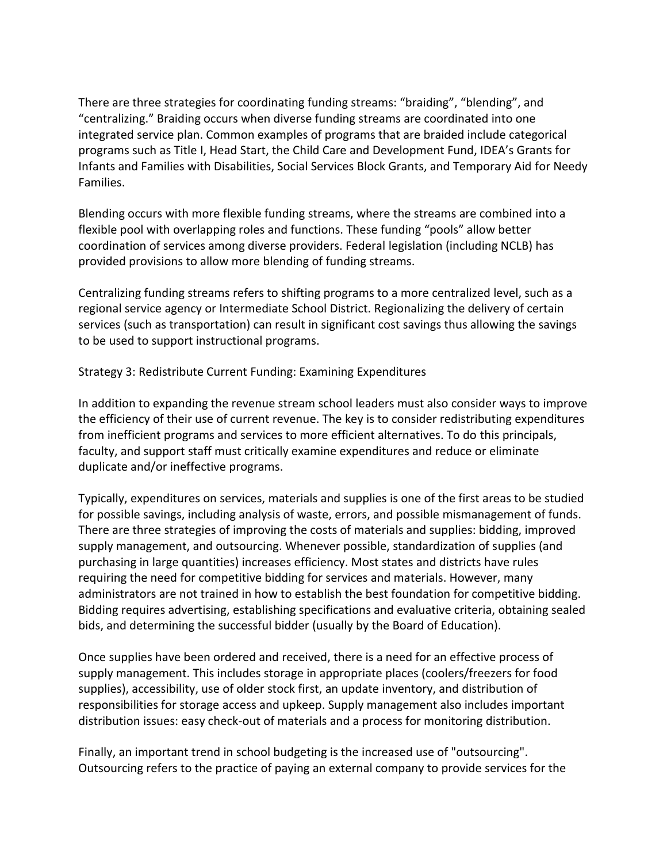There are three strategies for coordinating funding streams: "braiding", "blending", and "centralizing." Braiding occurs when diverse funding streams are coordinated into one integrated service plan. Common examples of programs that are braided include categorical programs such as Title I, Head Start, the Child Care and Development Fund, IDEA's Grants for Infants and Families with Disabilities, Social Services Block Grants, and Temporary Aid for Needy Families.

Blending occurs with more flexible funding streams, where the streams are combined into a flexible pool with overlapping roles and functions. These funding "pools" allow better coordination of services among diverse providers. Federal legislation (including NCLB) has provided provisions to allow more blending of funding streams.

Centralizing funding streams refers to shifting programs to a more centralized level, such as a regional service agency or Intermediate School District. Regionalizing the delivery of certain services (such as transportation) can result in significant cost savings thus allowing the savings to be used to support instructional programs.

Strategy 3: Redistribute Current Funding: Examining Expenditures

In addition to expanding the revenue stream school leaders must also consider ways to improve the efficiency of their use of current revenue. The key is to consider redistributing expenditures from inefficient programs and services to more efficient alternatives. To do this principals, faculty, and support staff must critically examine expenditures and reduce or eliminate duplicate and/or ineffective programs.

Typically, expenditures on services, materials and supplies is one of the first areas to be studied for possible savings, including analysis of waste, errors, and possible mismanagement of funds. There are three strategies of improving the costs of materials and supplies: bidding, improved supply management, and outsourcing. Whenever possible, standardization of supplies (and purchasing in large quantities) increases efficiency. Most states and districts have rules requiring the need for competitive bidding for services and materials. However, many administrators are not trained in how to establish the best foundation for competitive bidding. Bidding requires advertising, establishing specifications and evaluative criteria, obtaining sealed bids, and determining the successful bidder (usually by the Board of Education).

Once supplies have been ordered and received, there is a need for an effective process of supply management. This includes storage in appropriate places (coolers/freezers for food supplies), accessibility, use of older stock first, an update inventory, and distribution of responsibilities for storage access and upkeep. Supply management also includes important distribution issues: easy check-out of materials and a process for monitoring distribution.

Finally, an important trend in school budgeting is the increased use of "outsourcing". Outsourcing refers to the practice of paying an external company to provide services for the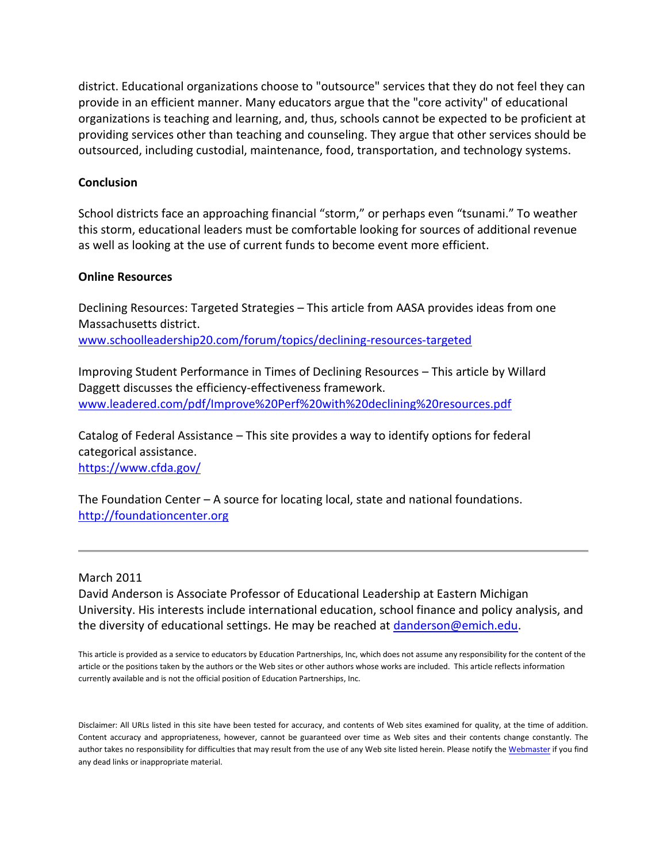district. Educational organizations choose to "outsource" services that they do not feel they can provide in an efficient manner. Many educators argue that the "core activity" of educational organizations is teaching and learning, and, thus, schools cannot be expected to be proficient at providing services other than teaching and counseling. They argue that other services should be outsourced, including custodial, maintenance, food, transportation, and technology systems.

### **Conclusion**

School districts face an approaching financial "storm," or perhaps even "tsunami." To weather this storm, educational leaders must be comfortable looking for sources of additional revenue as well as looking at the use of current funds to become event more efficient.

#### **Online Resources**

Declining Resources: Targeted Strategies – This article from AASA provides ideas from one Massachusetts district. [www.schoolleadership20.com/forum/topics/declining-resources-targeted](http://www.schoolleadership20.com/forum/topics/declining-resources-targeted)

Improving Student Performance in Times of Declining Resources – This article by Willard Daggett discusses the efficiency-effectiveness framework. [www.leadered.com/pdf/Improve%20Perf%20with%20declining%20resources.pdf](http://www.leadered.com/pdf/Improve%20Perf%20with%20declining%20resources.pdf) 

Catalog of Federal Assistance – This site provides a way to identify options for federal categorical assistance. <https://www.cfda.gov/>

The Foundation Center – A source for locating local, state and national foundations. [http://foundationcenter.org](http://foundationcenter.org/) 

#### March 2011

David Anderson is Associate Professor of Educational Leadership at Eastern Michigan University. His interests include international education, school finance and policy analysis, and the diversity of educational settings. He may be reached at [danderson@emich.edu.](mailto:danderson@emich.edu)

This article is provided as a service to educators by Education Partnerships, Inc, which does not assume any responsibility for the content of the article or the positions taken by the authors or the Web sites or other authors whose works are included. This article reflects information currently available and is not the official position of Education Partnerships, Inc.

Disclaimer: All URLs listed in this site have been tested for accuracy, and contents of Web sites examined for quality, at the time of addition. Content accuracy and appropriateness, however, cannot be guaranteed over time as Web sites and their contents change constantly. The author takes no responsibility for difficulties that may result from the use of any Web site listed herein. Please notify th[e Webmaster](mailto:cybrarian88@hotmail.com) if you find any dead links or inappropriate material.